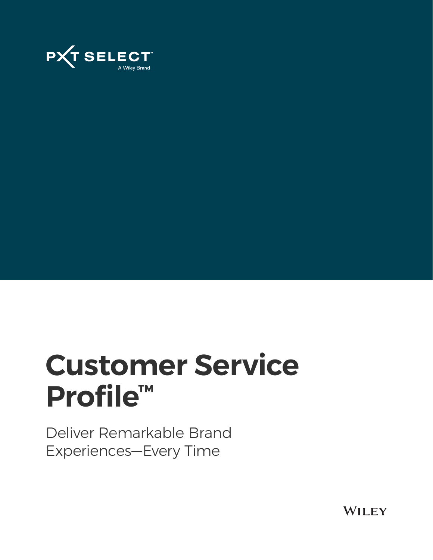

# **Customer Service Profile™**

Deliver Remarkable Brand Experiences—Every Time

**WILEY**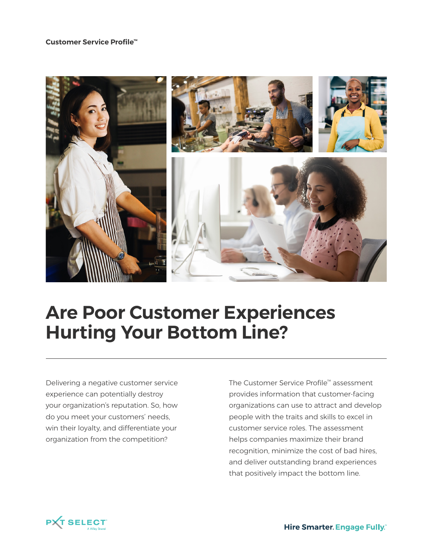#### **Customer Service Profile™**



## **Are Poor Customer Experiences Hurting Your Bottom Line?**

Delivering a negative customer service experience can potentially destroy your organization's reputation. So, how do you meet your customers' needs, win their loyalty, and differentiate your organization from the competition?

The Customer Service Profile™ assessment provides information that customer-facing organizations can use to attract and develop people with the traits and skills to excel in customer service roles. The assessment helps companies maximize their brand recognition, minimize the cost of bad hires, and deliver outstanding brand experiences that positively impact the bottom line.



**Hire Smarter. Engage Fully.**"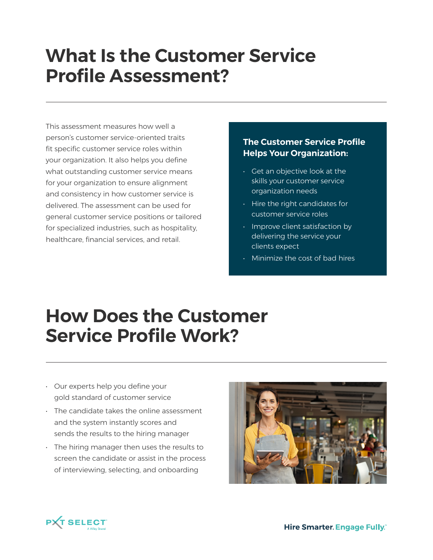## **What Is the Customer Service Profile Assessment?**

This assessment measures how well a person's customer service-oriented traits fit specific customer service roles within your organization. It also helps you define what outstanding customer service means for your organization to ensure alignment and consistency in how customer service is delivered. The assessment can be used for general customer service positions or tailored for specialized industries, such as hospitality, healthcare, financial services, and retail.

#### **The Customer Service Profile Helps Your Organization:**

- Get an objective look at the skills your customer service organization needs
- Hire the right candidates for customer service roles
- Improve client satisfaction by delivering the service your clients expect
- Minimize the cost of bad hires

## **How Does the Customer Service Profile Work?**

- Our experts help you define your gold standard of customer service
- The candidate takes the online assessment and the system instantly scores and sends the results to the hiring manager
- The hiring manager then uses the results to screen the candidate or assist in the process of interviewing, selecting, and onboarding